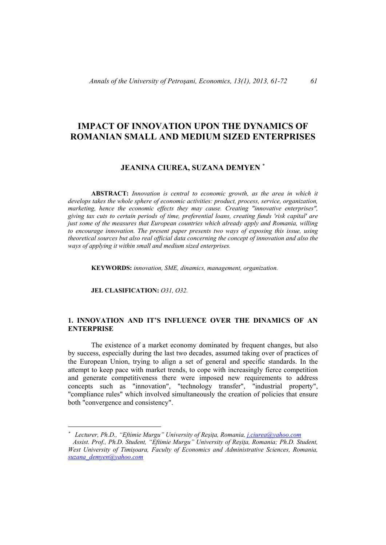# **IMPACT OF INNOVATION UPON THE DYNAMICS OF ROMANIAN SMALL AND MEDIUM SIZED ENTERPRISES**

# **JEANINA CIUREA, SUZANA DEMYEN**

**ABSTRACT:** *Innovation is central to economic growth, as the area in which it develops takes the whole sphere of economic activities: product, process, service, organization, marketing, hence the economic effects they may cause. Creating "innovative enterprises", giving tax cuts to certain periods of time, preferential loans, creating funds 'risk capital' are just some of the measures that European countries which already apply and Romania, willing to encourage innovation. The present paper presents two ways of exposing this issue, using theoretical sources but also real official data concerning the concept of innovation and also the ways of applying it within small and medium sized enterprises.* 

**KEYWORDS:** *innovation, SME, dinamics, management, organization.* 

**JEL CLASIFICATION:** *O31, O32.* 

## **1. INNOVATION AND IT'S INFLUENCE OVER THE DINAMICS OF AN ENTERPRISE**

The existence of a market economy dominated by frequent changes, but also by success, especially during the last two decades, assumed taking over of practices of the European Union, trying to align a set of general and specific standards. In the attempt to keep pace with market trends, to cope with increasingly fierce competition and generate competitiveness there were imposed new requirements to address concepts such as "innovation", "technology transfer", "industrial property", "compliance rules" which involved simultaneously the creation of policies that ensure both "convergence and consistency".

*Lecturer, Ph.D., "Eftimie Murgu" University of Reşiţa, Romania, j.ciurea@yahoo.com* 

*Assist. Prof., Ph.D. Student, "Eftimie Murgu" University of Reșița, Romania; Ph.D. Student, West University of Timișoara, Faculty of Economics and Administrative Sciences, Romania, suzana\_demyen@yahoo.com*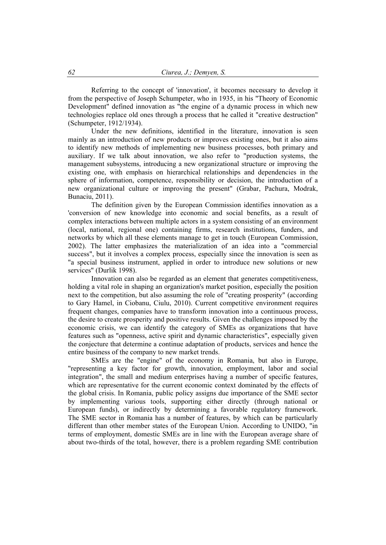Referring to the concept of 'innovation', it becomes necessary to develop it from the perspective of Joseph Schumpeter, who in 1935, in his "Theory of Economic Development" defined innovation as "the engine of a dynamic process in which new technologies replace old ones through a process that he called it "creative destruction" (Schumpeter, 1912/1934).

Under the new definitions, identified in the literature, innovation is seen mainly as an introduction of new products or improves existing ones, but it also aims to identify new methods of implementing new business processes, both primary and auxiliary. If we talk about innovation, we also refer to "production systems, the management subsystems, introducing a new organizational structure or improving the existing one, with emphasis on hierarchical relationships and dependencies in the sphere of information, competence, responsibility or decision, the introduction of a new organizational culture or improving the present" (Grabar, Pachura, Modrak, Bunaciu, 2011).

The definition given by the European Commission identifies innovation as a 'conversion of new knowledge into economic and social benefits, as a result of complex interactions between multiple actors in a system consisting of an environment (local, national, regional one) containing firms, research institutions, funders, and networks by which all these elements manage to get in touch (European Commission, 2002). The latter emphasizes the materialization of an idea into a "commercial success", but it involves a complex process, especially since the innovation is seen as "a special business instrument, applied in order to introduce new solutions or new services" (Durlik 1998).

Innovation can also be regarded as an element that generates competitiveness, holding a vital role in shaping an organization's market position, especially the position next to the competition, but also assuming the role of "creating prosperity" (according to Gary Hamel, in Ciobanu, Ciulu, 2010). Current competitive environment requires frequent changes, companies have to transform innovation into a continuous process, the desire to create prosperity and positive results. Given the challenges imposed by the economic crisis, we can identify the category of SMEs as organizations that have features such as "openness, active spirit and dynamic characteristics", especially given the conjecture that determine a continue adaptation of products, services and hence the entire business of the company to new market trends.

SMEs are the "engine" of the economy in Romania, but also in Europe, "representing a key factor for growth, innovation, employment, labor and social integration", the small and medium enterprises having a number of specific features, which are representative for the current economic context dominated by the effects of the global crisis. In Romania, public policy assigns due importance of the SME sector by implementing various tools, supporting either directly (through national or European funds), or indirectly by determining a favorable regulatory framework. The SME sector in Romania has a number of features, by which can be particularly different than other member states of the European Union. According to UNIDO, "in terms of employment, domestic SMEs are in line with the European average share of about two-thirds of the total, however, there is a problem regarding SME contribution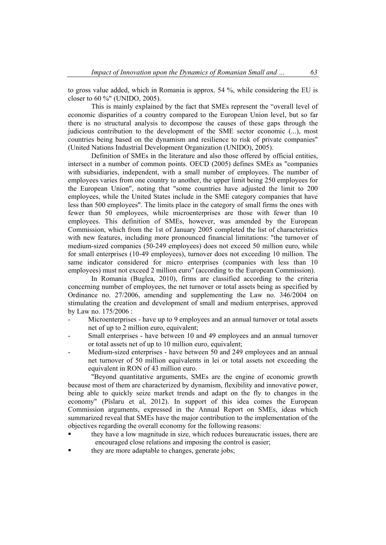to gross value added, which in Romania is approx. 54 %, while considering the EU is closer to 60 %" (UNIDO, 2005).

This is mainly explained by the fact that SMEs represent the "overall level of economic disparities of a country compared to the European Union level, but so far there is no structural analysis to decompose the causes of these gaps through the judicious contribution to the development of the SME sector economic (...), most countries being based on the dynamism and resilience to risk of private companies" (United Nations Industrial Development Organization (UNIDO), 2005).

Definition of SMEs in the literature and also those offered by official entities, intersect in a number of common points. OECD (2005) defines SMEs as "companies with subsidiaries, independent, with a small number of employees. The number of employees varies from one country to another, the upper limit being 250 employees for the European Union", noting that "some countries have adjusted the limit to 200 employees, while the United States include in the SME category companies that have less than 500 employees". The limits place in the category of small firms the ones with fewer than 50 employees, while microenterprises are those with fewer than 10 employees. This definition of SMEs, however, was amended by the European Commission, which from the 1st of January 2005 completed the list of characteristics with new features, including more pronounced financial limitations: "the turnover of medium-sized companies (50-249 employees) does not exceed 50 million euro, while for small enterprises (10-49 employees), turnover does not exceeding 10 million. The same indicator considered for micro enterprises (companies with less than 10 employees) must not exceed 2 million euro" (according to the European Commission).

In Romania (Buglea, 2010), firms are classified according to the criteria concerning number of employees, the net turnover or total assets being as specified by Ordinance no. 27/2006, amending and supplementing the Law no. 346/2004 on stimulating the creation and development of small and medium enterprises, approved by Law no. 175/2006 :

- Microenterprises have up to 9 employees and an annual turnover or total assets net of up to 2 million euro, equivalent;
- Small enterprises have between 10 and 49 employees and an annual turnover or total assets net of up to 10 million euro, equivalent;
- Medium-sized enterprises have between 50 and 249 employees and an annual net turnover of 50 million equivalents in lei or total assets not exceeding the equivalent in RON of 43 million euro.

"Beyond quantitative arguments, SMEs are the engine of economic growth because most of them are characterized by dynamism, flexibility and innovative power, being able to quickly seize market trends and adapt on the fly to changes in the economy" (Pîslaru et al, 2012). In support of this idea comes the European Commission arguments, expressed in the Annual Report on SMEs, ideas which summarized reveal that SMEs have the major contribution to the implementation of the objectives regarding the overall economy for the following reasons:

- they have a low magnitude in size, which reduces bureaucratic issues, there are encouraged close relations and imposing the control is easier;
- they are more adaptable to changes, generate jobs;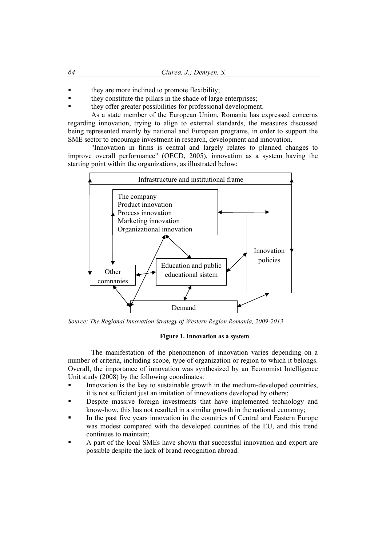- they are more inclined to promote flexibility;
- they constitute the pillars in the shade of large enterprises;
- they offer greater possibilities for professional development.

As a state member of the European Union, Romania has expressed concerns regarding innovation, trying to align to external standards, the measures discussed being represented mainly by national and European programs, in order to support the SME sector to encourage investment in research, development and innovation.

"Innovation in firms is central and largely relates to planned changes to improve overall performance" (OECD, 2005), innovation as a system having the starting point within the organizations, as illustrated below:



*Source: The Regional Innovation Strategy of Western Region Romania, 2009-2013* 

#### **Figure 1. Innovation as a system**

The manifestation of the phenomenon of innovation varies depending on a number of criteria, including scope, type of organization or region to which it belongs. Overall, the importance of innovation was synthesized by an Economist Intelligence Unit study (2008) by the following coordinates:

- Innovation is the key to sustainable growth in the medium-developed countries, it is not sufficient just an imitation of innovations developed by others;
- Despite massive foreign investments that have implemented technology and know-how, this has not resulted in a similar growth in the national economy;
- In the past five years innovation in the countries of Central and Eastern Europe was modest compared with the developed countries of the EU, and this trend continues to maintain;
- A part of the local SMEs have shown that successful innovation and export are possible despite the lack of brand recognition abroad.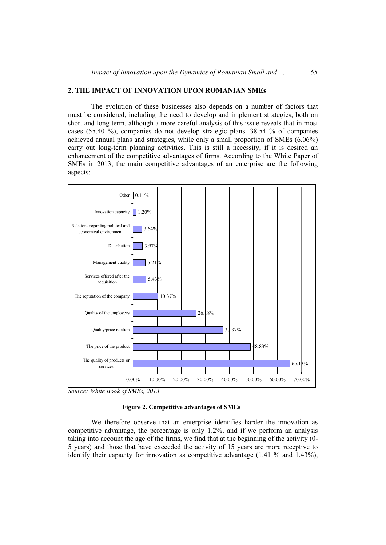# **2. THE IMPACT OF INNOVATION UPON ROMANIAN SMEs**

The evolution of these businesses also depends on a number of factors that must be considered, including the need to develop and implement strategies, both on short and long term, although a more careful analysis of this issue reveals that in most cases (55.40 %), companies do not develop strategic plans. 38.54 % of companies achieved annual plans and strategies, while only a small proportion of SMEs  $(6.06\%)$ carry out long-term planning activities. This is still a necessity, if it is desired an enhancement of the competitive advantages of firms. According to the White Paper of SMEs in 2013, the main competitive advantages of an enterprise are the following aspects:



*Source: White Book of SMEs, 2013* 

## **Figure 2. Competitive advantages of SMEs**

We therefore observe that an enterprise identifies harder the innovation as competitive advantage, the percentage is only 1.2%, and if we perform an analysis taking into account the age of the firms, we find that at the beginning of the activity (0- 5 years) and those that have exceeded the activity of 15 years are more receptive to identify their capacity for innovation as competitive advantage (1.41 % and 1.43%),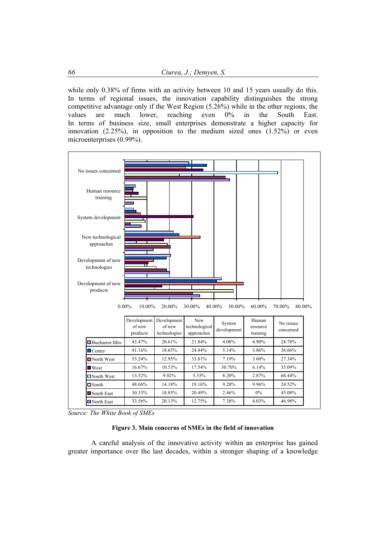while only 0.38% of firms with an activity between 10 and 15 years usually do this. In terms of regional issues, the innovation capability distinguishes the strong competitive advantage only if the West Region (5.26%) while in the other regions, the values are much lower, reaching even 0% in the South East. In terms of business size, small enterprises demonstrate a higher capacity for innovation (2.25%), in opposition to the medium sized ones (1.52%) or even microenterprises (0.99%).



*Source: The White Book of SMEs* 

#### **Figure 3. Main concerns of SMEs in the field of innovation**

A careful analysis of the innovative activity within an enterprise has gained greater importance over the last decades, within a stronger shaping of a knowledge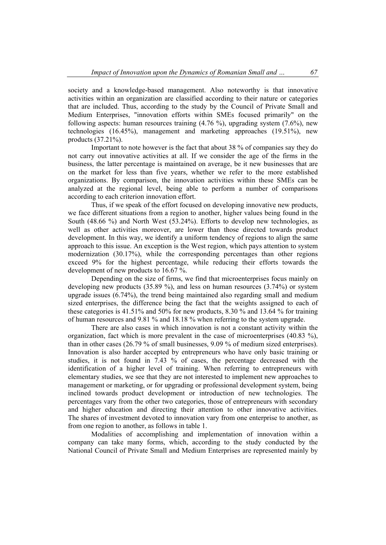society and a knowledge-based management. Also noteworthy is that innovative activities within an organization are classified according to their nature or categories that are included. Thus, according to the study by the Council of Private Small and Medium Enterprises, "innovation efforts within SMEs focused primarily" on the following aspects: human resources training (4.76 %), upgrading system (7.6%), new technologies (16.45%), management and marketing approaches (19.51%), new products (37.21%).

Important to note however is the fact that about 38 % of companies say they do not carry out innovative activities at all. If we consider the age of the firms in the business, the latter percentage is maintained on average, be it new businesses that are on the market for less than five years, whether we refer to the more established organizations. By comparison, the innovation activities within these SMEs can be analyzed at the regional level, being able to perform a number of comparisons according to each criterion innovation effort.

Thus, if we speak of the effort focused on developing innovative new products, we face different situations from a region to another, higher values being found in the South (48.66 %) and North West (53.24%). Efforts to develop new technologies, as well as other activities moreover, are lower than those directed towards product development. In this way, we identify a uniform tendency of regions to align the same approach to this issue. An exception is the West region, which pays attention to system modernization (30.17%), while the corresponding percentages than other regions exceed 9% for the highest percentage, while reducing their efforts towards the development of new products to 16.67 %.

 Depending on the size of firms, we find that microenterprises focus mainly on developing new products (35.89 %), and less on human resources (3.74%) or system upgrade issues (6.74%), the trend being maintained also regarding small and medium sized enterprises, the difference being the fact that the weights assigned to each of these categories is 41.51% and 50% for new products, 8.30 % and 13.64 % for training of human resources and 9.81 % and 18.18 % when referring to the system upgrade.

There are also cases in which innovation is not a constant activity within the organization, fact which is more prevalent in the case of microenterprises (40.83 %), than in other cases (26.79 % of small businesses, 9.09 % of medium sized enterprises). Innovation is also harder accepted by entrepreneurs who have only basic training or studies, it is not found in 7.43 % of cases, the percentage decreased with the identification of a higher level of training. When referring to entrepreneurs with elementary studies, we see that they are not interested to implement new approaches to management or marketing, or for upgrading or professional development system, being inclined towards product development or introduction of new technologies. The percentages vary from the other two categories, those of entrepreneurs with secondary and higher education and directing their attention to other innovative activities. The shares of investment devoted to innovation vary from one enterprise to another, as from one region to another, as follows in table 1.

Modalities of accomplishing and implementation of innovation within a company can take many forms, which, according to the study conducted by the National Council of Private Small and Medium Enterprises are represented mainly by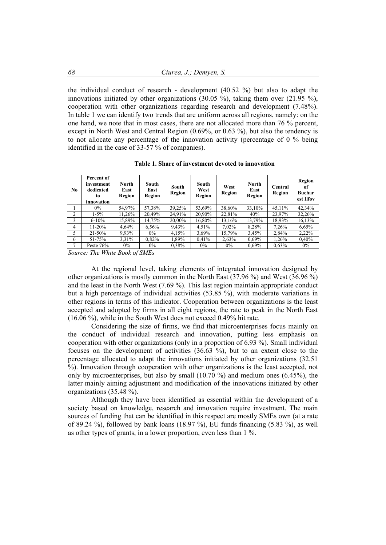the individual conduct of research - development (40.52 %) but also to adapt the innovations initiated by other organizations  $(30.05 \%)$ , taking them over  $(21.95 \%)$ , cooperation with other organizations regarding research and development (7.48%). In table 1 we can identify two trends that are uniform across all regions, namely: on the one hand, we note that in most cases, there are not allocated more than 76 % percent, except in North West and Central Region (0.69%, or 0.63 %), but also the tendency is to not allocate any percentage of the innovation activity (percentage of 0 % being identified in the case of 33-57 % of companies).

| Table 1. Share of investment devoted to innovation |  |
|----------------------------------------------------|--|
|----------------------------------------------------|--|

| No             | Percent of<br>investment<br>dedicated<br>to<br>innovation | <b>North</b><br>East<br>Region | South<br>East<br>Region | South<br>Region | South<br>West<br>Region | West<br>Region | <b>North</b><br>East<br>Region | Central<br>Region | Region<br>оf<br><b>Buchar</b><br>est Ilfov |
|----------------|-----------------------------------------------------------|--------------------------------|-------------------------|-----------------|-------------------------|----------------|--------------------------------|-------------------|--------------------------------------------|
|                | $0\%$                                                     | 54,97%                         | 57,38%                  | 39,25%          | 53.69%                  | 38.60%         | 33.10%                         | 45,11%            | 42,34%                                     |
| $\overline{c}$ | $1 - 5\%$                                                 | 11.26%                         | 20,49%                  | 24,91%          | 20,90%                  | 22,81%         | 40%                            | 23,97%            | 32,26%                                     |
| 3              | $6 - 10\%$                                                | 15,89%                         | 14,75%                  | 20,00%          | 16,80%                  | 13,16%         | 13,79%                         | 18,93%            | 16,13%                                     |
| $\overline{4}$ | $11 - 20%$                                                | 4,64%                          | 6,56%                   | 9,43%           | 4,51%                   | 7,02%          | 8,28%                          | 7,26%             | 6,65%                                      |
| 5              | $21 - 50\%$                                               | 9,93%                          | $0\%$                   | 4,15%           | 3.69%                   | 15,79%         | 3,45%                          | 2,84%             | 2,22%                                      |
| 6              | 51-75%                                                    | 3,31%                          | 0,82%                   | 1,89%           | 0.41%                   | 2,63%          | $0.69\%$                       | 1,26%             | 0.40%                                      |
| $\mathcal{I}$  | Peste $76%$                                               | $0\%$                          | $0\%$                   | 0.38%           | $0\%$                   | $0\%$          | $0.69\%$                       | 0.63%             | $0\%$                                      |

*Source: The White Book of SMEs* 

At the regional level, taking elements of integrated innovation designed by other organizations is mostly common in the North East (37.96 %) and West (36.96 %) and the least in the North West (7.69 %). This last region maintain appropriate conduct but a high percentage of individual activities (53.85 %), with moderate variations in other regions in terms of this indicator. Cooperation between organizations is the least accepted and adopted by firms in all eight regions, the rate to peak in the North East (16.06 %), while in the South West does not exceed 0.49% hit rate.

Considering the size of firms, we find that microenterprises focus mainly on the conduct of individual research and innovation, putting less emphasis on cooperation with other organizations (only in a proportion of 6.93 %). Small individual focuses on the development of activities (36.63 %), but to an extent close to the percentage allocated to adapt the innovations initiated by other organizations (32.51 %). Innovation through cooperation with other organizations is the least accepted, not only by microenterprises, but also by small  $(10.70\%)$  and medium ones  $(6.45\%)$ , the latter mainly aiming adjustment and modification of the innovations initiated by other organizations (35.48 %).

Although they have been identified as essential within the development of a society based on knowledge, research and innovation require investment. The main sources of funding that can be identified in this respect are mostly SMEs own (at a rate of 89.24 %), followed by bank loans  $(18.97 \%)$ , EU funds financing  $(5.83 \%)$ , as well as other types of grants, in a lower proportion, even less than 1 %.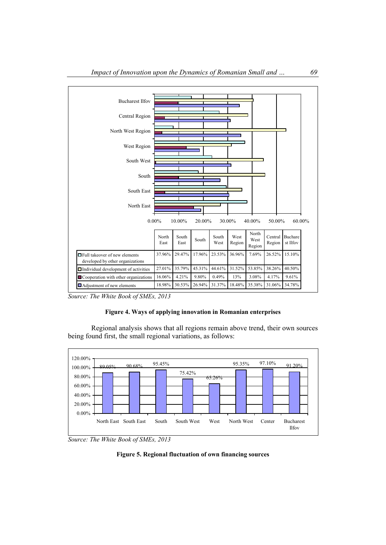



## **Figure 4. Ways of applying innovation in Romanian enterprises**

Regional analysis shows that all regions remain above trend, their own sources being found first, the small regional variations, as follows:



*Source: The White Book of SMEs, 2013* 

**Figure 5. Regional fluctuation of own financing sources**

*Source: The White Book of SMEs, 2013*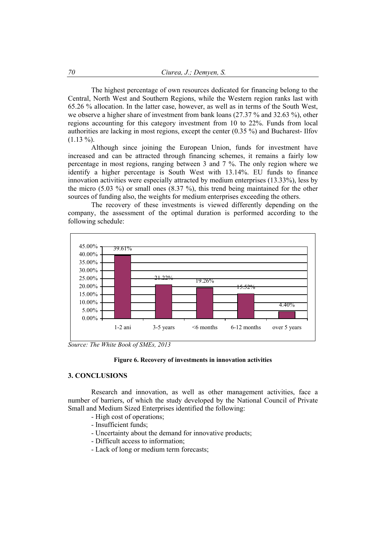The highest percentage of own resources dedicated for financing belong to the Central, North West and Southern Regions, while the Western region ranks last with 65.26 % allocation. In the latter case, however, as well as in terms of the South West, we observe a higher share of investment from bank loans (27.37 % and 32.63 %), other regions accounting for this category investment from 10 to 22%. Funds from local authorities are lacking in most regions, except the center (0.35 %) and Bucharest- Ilfov  $(1.13\%)$ .

Although since joining the European Union, funds for investment have increased and can be attracted through financing schemes, it remains a fairly low percentage in most regions, ranging between 3 and 7 %. The only region where we identify a higher percentage is South West with 13.14%. EU funds to finance innovation activities were especially attracted by medium enterprises (13.33%), less by the micro (5.03 %) or small ones (8.37 %), this trend being maintained for the other sources of funding also, the weights for medium enterprises exceeding the others.

The recovery of these investments is viewed differently depending on the company, the assessment of the optimal duration is performed according to the following schedule:



*Source: The White Book of SMEs, 2013* 



#### **3. CONCLUSIONS**

Research and innovation, as well as other management activities, face a number of barriers, of which the study developed by the National Council of Private Small and Medium Sized Enterprises identified the following:

- High cost of operations;
- Insufficient funds;
- Uncertainty about the demand for innovative products;
- Difficult access to information;
- Lack of long or medium term forecasts;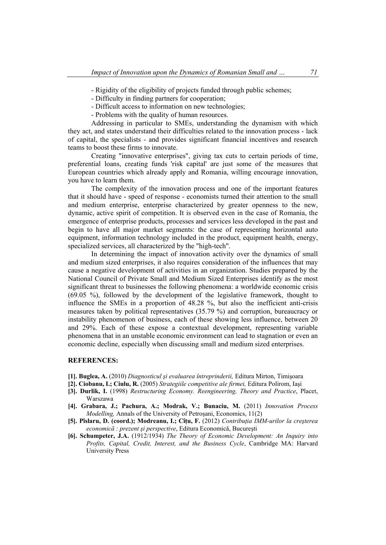- Rigidity of the eligibility of projects funded through public schemes;

- Difficulty in finding partners for cooperation;
- Difficult access to information on new technologies;

- Problems with the quality of human resources.

Addressing in particular to SMEs, understanding the dynamism with which they act, and states understand their difficulties related to the innovation process - lack of capital, the specialists - and provides significant financial incentives and research teams to boost these firms to innovate.

Creating "innovative enterprises", giving tax cuts to certain periods of time, preferential loans, creating funds 'risk capital' are just some of the measures that European countries which already apply and Romania, willing encourage innovation, you have to learn them.

The complexity of the innovation process and one of the important features that it should have - speed of response - economists turned their attention to the small and medium enterprise, enterprise characterized by greater openness to the new, dynamic, active spirit of competition. It is observed even in the case of Romania, the emergence of enterprise products, processes and services less developed in the past and begin to have all major market segments: the case of representing horizontal auto equipment, information technology included in the product, equipment health, energy, specialized services, all characterized by the "high-tech".

In determining the impact of innovation activity over the dynamics of small and medium sized enterprises, it also requires consideration of the influences that may cause a negative development of activities in an organization. Studies prepared by the National Council of Private Small and Medium Sized Enterprises identify as the most significant threat to businesses the following phenomena: a worldwide economic crisis (69.05 %), followed by the development of the legislative framework, thought to influence the SMEs in a proportion of 48.28 %, but also the inefficient anti-crisis measures taken by political representatives (35.79 %) and corruption, bureaucracy or instability phenomenon of business, each of these showing less influence, between 20 and 29%. Each of these expose a contextual development, representing variable phenomena that in an unstable economic environment can lead to stagnation or even an economic decline, especially when discussing small and medium sized enterprises.

## **REFERENCES:**

- **[1]. Buglea, A.** (2010) *Diagnosticul şi evaluarea întreprinderii,* Editura Mirton, Timişoara
- **[2]. Ciobanu, I.; Ciulu, R.** (2005) *Strategiile competitive ale firmei,* Editura Polirom, Iaşi
- **[3]. Durlik, I.** (1998) *Restructuring Economy. Reengineering, Theory and Practice*, Placet,
- Warszawa **[4]. Grabara, J.; Pachura, A.; Modrak, V.; Bunaciu, M.** (2011) *Innovation Process Modelling,* Annals of the University of Petroşani, Economics, 11(2)
- **[5]. Pîslaru, D. (coord.); Modreanu, I.; Cîţu, F.** (2012) *Contribuţia IMM-urilor la creşterea economică : prezent şi perspective*, Editura Economică, Bucureşti
- **[6]. Schumpeter, J.A.** (1912/1934) *The Theory of Economic Development: An Inquiry into Profits, Capital, Credit, Interest, and the Business Cycle*, Cambridge MA: Harvard University Press